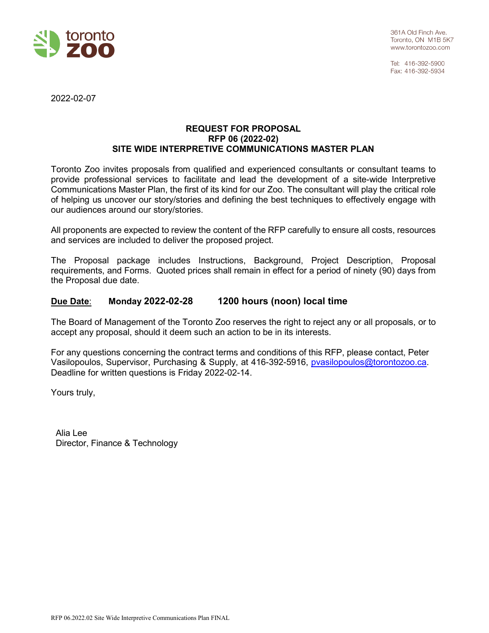

Tel: 416-392-5900 Fax: 416-392-5934

2022-02-07

### **REQUEST FOR PROPOSAL RFP 06 (2022-02) SITE WIDE INTERPRETIVE COMMUNICATIONS MASTER PLAN**

Toronto Zoo invites proposals from qualified and experienced consultants or consultant teams to provide professional services to facilitate and lead the development of a site-wide Interpretive Communications Master Plan, the first of its kind for our Zoo. The consultant will play the critical role of helping us uncover our story/stories and defining the best techniques to effectively engage with our audiences around our story/stories.

All proponents are expected to review the content of the RFP carefully to ensure all costs, resources and services are included to deliver the proposed project.

The Proposal package includes Instructions, Background, Project Description, Proposal requirements, and Forms. Quoted prices shall remain in effect for a period of ninety (90) days from the Proposal due date.

# **Due Date**: **Monday 2022-02-28 1200 hours (noon) local time**

The Board of Management of the Toronto Zoo reserves the right to reject any or all proposals, or to accept any proposal, should it deem such an action to be in its interests.

For any questions concerning the contract terms and conditions of this RFP, please contact, Peter Vasilopoulos, Supervisor, Purchasing & Supply, at 416-392-5916, [pvasilopoulos@torontozoo.ca.](mailto:pvasilopoulos@torontozoo.ca) Deadline for written questions is Friday 2022-02-14.

Yours truly,

Alia Lee Director, Finance & Technology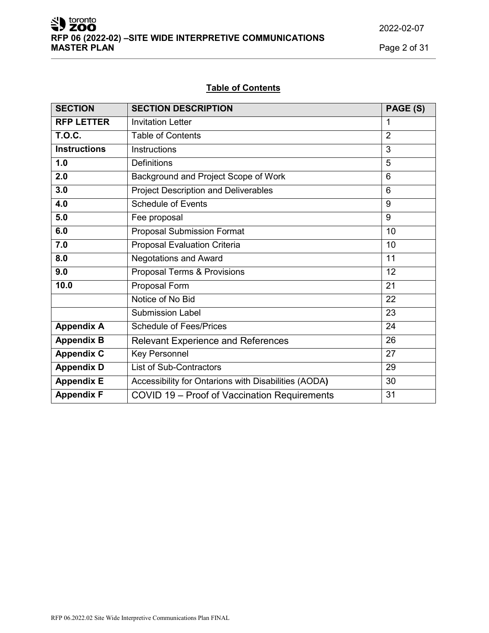toronto<br>**ZOO RFP 06 (2022-02) –SITE WIDE INTERPRETIVE COMMUNICATIONS MASTER PLAN** Page 2 of 31

2022-02-07

# **Table of Contents**

| <b>SECTION</b>      | <b>SECTION DESCRIPTION</b>                           | PAGE (S)       |
|---------------------|------------------------------------------------------|----------------|
| <b>RFP LETTER</b>   | <b>Invitation Letter</b>                             | 1              |
| <b>T.O.C.</b>       | <b>Table of Contents</b>                             | $\overline{2}$ |
| <b>Instructions</b> | <b>Instructions</b>                                  | 3              |
| 1.0                 | <b>Definitions</b>                                   | 5              |
| 2.0                 | Background and Project Scope of Work                 | 6              |
| 3.0                 | <b>Project Description and Deliverables</b>          | 6              |
| 4.0                 | <b>Schedule of Events</b>                            | 9              |
| 5.0                 | Fee proposal                                         | 9              |
| 6.0                 | <b>Proposal Submission Format</b>                    | 10             |
| 7.0                 | <b>Proposal Evaluation Criteria</b>                  | 10             |
| 8.0                 | <b>Negotations and Award</b>                         | 11             |
| 9.0                 | Proposal Terms & Provisions                          | 12             |
| 10.0                | Proposal Form                                        | 21             |
|                     | Notice of No Bid                                     | 22             |
|                     | <b>Submission Label</b>                              | 23             |
| <b>Appendix A</b>   | <b>Schedule of Fees/Prices</b>                       | 24             |
| <b>Appendix B</b>   | <b>Relevant Experience and References</b>            | 26             |
| <b>Appendix C</b>   | <b>Key Personnel</b>                                 | 27             |
| <b>Appendix D</b>   | List of Sub-Contractors                              | 29             |
| <b>Appendix E</b>   | Accessibility for Ontarions with Disabilities (AODA) | 30             |
| <b>Appendix F</b>   | COVID 19 - Proof of Vaccination Requirements         | 31             |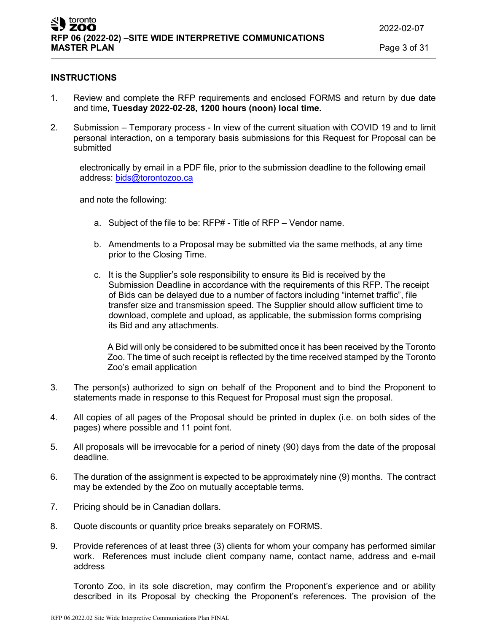#### **INSTRUCTIONS**

- 1. Review and complete the RFP requirements and enclosed FORMS and return by due date and time**, Tuesday 2022-02-28, 1200 hours (noon) local time.**
- 2. Submission Temporary process In view of the current situation with COVID 19 and to limit personal interaction, on a temporary basis submissions for this Request for Proposal can be submitted

electronically by email in a PDF file, prior to the submission deadline to the following email address: [bids@torontozoo.ca](mailto:bids@torontozoo.ca)

and note the following:

- a. Subject of the file to be: RFP# Title of RFP Vendor name.
- b. Amendments to a Proposal may be submitted via the same methods, at any time prior to the Closing Time.
- c. It is the Supplier's sole responsibility to ensure its Bid is received by the Submission Deadline in accordance with the requirements of this RFP. The receipt of Bids can be delayed due to a number of factors including "internet traffic", file transfer size and transmission speed. The Supplier should allow sufficient time to download, complete and upload, as applicable, the submission forms comprising its Bid and any attachments.

A Bid will only be considered to be submitted once it has been received by the Toronto Zoo. The time of such receipt is reflected by the time received stamped by the Toronto Zoo's email application

- 3. The person(s) authorized to sign on behalf of the Proponent and to bind the Proponent to statements made in response to this Request for Proposal must sign the proposal.
- 4. All copies of all pages of the Proposal should be printed in duplex (i.e. on both sides of the pages) where possible and 11 point font.
- 5. All proposals will be irrevocable for a period of ninety (90) days from the date of the proposal deadline.
- 6. The duration of the assignment is expected to be approximately nine (9) months. The contract may be extended by the Zoo on mutually acceptable terms.
- 7. Pricing should be in Canadian dollars.
- 8. Quote discounts or quantity price breaks separately on FORMS.
- 9. Provide references of at least three (3) clients for whom your company has performed similar work. References must include client company name, contact name, address and e-mail address

Toronto Zoo, in its sole discretion, may confirm the Proponent's experience and or ability described in its Proposal by checking the Proponent's references. The provision of the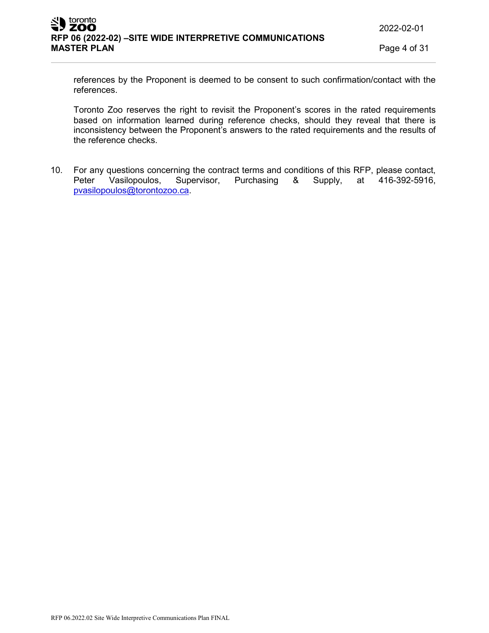references by the Proponent is deemed to be consent to such confirmation/contact with the references.

Toronto Zoo reserves the right to revisit the Proponent's scores in the rated requirements based on information learned during reference checks, should they reveal that there is inconsistency between the Proponent's answers to the rated requirements and the results of the reference checks.

10. For any questions concerning the contract terms and conditions of this RFP, please contact,<br>Peter Vasilopoulos, Supervisor, Purchasing & Supply, at 416-392-5916, 8. Supply, at 416-392-5916, [pvasilopoulos@torontozoo.ca.](mailto:pvasilopoulos@torontozoo.ca)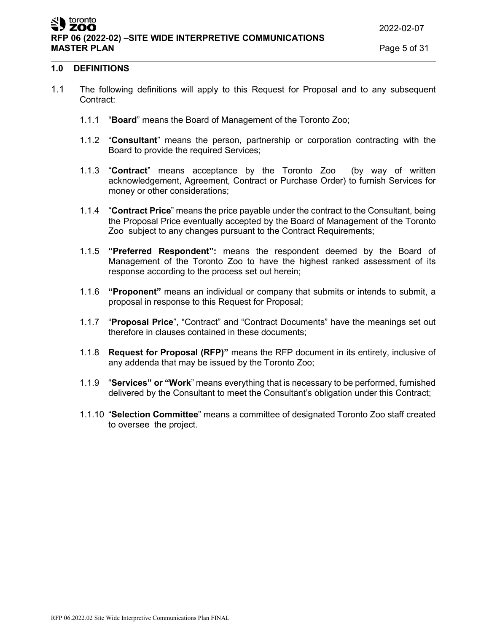#### **1.0 DEFINITIONS**

- 1.1 The following definitions will apply to this Request for Proposal and to any subsequent Contract:
	- 1.1.1 "**Board**" means the Board of Management of the Toronto Zoo;
	- 1.1.2 "**Consultant**" means the person, partnership or corporation contracting with the Board to provide the required Services;
	- 1.1.3 "**Contract**" means acceptance by the Toronto Zoo (by way of written acknowledgement, Agreement, Contract or Purchase Order) to furnish Services for money or other considerations;
	- 1.1.4 "**Contract Price**" means the price payable under the contract to the Consultant, being the Proposal Price eventually accepted by the Board of Management of the Toronto Zoo subject to any changes pursuant to the Contract Requirements;
	- 1.1.5 **"Preferred Respondent":** means the respondent deemed by the Board of Management of the Toronto Zoo to have the highest ranked assessment of its response according to the process set out herein;
	- 1.1.6 **"Proponent"** means an individual or company that submits or intends to submit, a proposal in response to this Request for Proposal;
	- 1.1.7 "**Proposal Price**", "Contract" and "Contract Documents" have the meanings set out therefore in clauses contained in these documents;
	- 1.1.8 **Request for Proposal (RFP)"** means the RFP document in its entirety, inclusive of any addenda that may be issued by the Toronto Zoo;
	- 1.1.9 "**Services" or "Work**" means everything that is necessary to be performed, furnished delivered by the Consultant to meet the Consultant's obligation under this Contract;
	- 1.1.10 "**Selection Committee**" means a committee of designated Toronto Zoo staff created to oversee the project.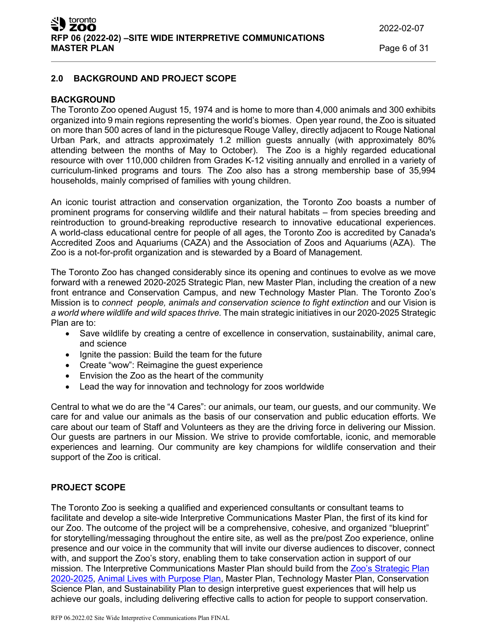# **2.0 BACKGROUND AND PROJECT SCOPE**

### **BACKGROUND**

The Toronto Zoo opened August 15, 1974 and is home to more than 4,000 animals and 300 exhibits organized into 9 main regions representing the world's biomes. Open year round, the Zoo is situated on more than 500 acres of land in the picturesque Rouge Valley, directly adjacent to Rouge National Urban Park, and attracts approximately 1.2 million guests annually (with approximately 80% attending between the months of May to October). The Zoo is a highly regarded educational resource with over 110,000 children from Grades K-12 visiting annually and enrolled in a variety of curriculum-linked programs and tours. The Zoo also has a strong membership base of 35,994 households, mainly comprised of families with young children.

An iconic tourist attraction and conservation organization, the Toronto Zoo boasts a number of prominent programs for conserving wildlife and their natural habitats – from species breeding and reintroduction to ground-breaking reproductive research to innovative educational experiences. A world-class educational centre for people of all ages, the Toronto Zoo is accredited by Canada's Accredited Zoos and Aquariums (CAZA) and the Association of Zoos and Aquariums (AZA). The Zoo is a not-for-profit organization and is stewarded by a Board of Management.

The Toronto Zoo has changed considerably since its opening and continues to evolve as we move forward with a renewed 2020-2025 Strategic Plan, new Master Plan, including the creation of a new front entrance and Conservation Campus, and new Technology Master Plan. The Toronto Zoo's Mission is to *connect people, animals and conservation science to fight extinction* and our Vision is *a world where wildlife and wild spaces thrive.* The main strategic initiatives in our 2020-2025 Strategic Plan are to:

- Save wildlife by creating a centre of excellence in conservation, sustainability, animal care, and science
- Ignite the passion: Build the team for the future
- Create "wow": Reimagine the guest experience
- Envision the Zoo as the heart of the community
- Lead the way for innovation and technology for zoos worldwide

Central to what we do are the "4 Cares": our animals, our team, our guests, and our community. We care for and value our animals as the basis of our conservation and public education efforts. We care about our team of Staff and Volunteers as they are the driving force in delivering our Mission. Our guests are partners in our Mission. We strive to provide comfortable, iconic, and memorable experiences and learning. Our community are key champions for wildlife conservation and their support of the Zoo is critical.

# **PROJECT SCOPE**

The Toronto Zoo is seeking a qualified and experienced consultants or consultant teams to facilitate and develop a site-wide Interpretive Communications Master Plan, the first of its kind for our Zoo. The outcome of the project will be a comprehensive, cohesive, and organized "blueprint" for storytelling/messaging throughout the entire site, as well as the pre/post Zoo experience, online presence and our voice in the community that will invite our diverse audiences to discover, connect with, and support the Zoo's story, enabling them to take conservation action in support of our mission. The Interpretive Communications Master Plan should build from the [Zoo's Strategic Plan](https://www.toronto.ca/legdocs/mmis/2020/zb/bgrd/backgroundfile-145807.pdf) [2020-2025,](https://www.toronto.ca/legdocs/mmis/2020/zb/bgrd/backgroundfile-145807.pdf) [Animal Lives with Purpose Plan,](https://www.toronto.ca/legdocs/mmis/2020/zb/bgrd/backgroundfile-158681.pdf) Master Plan, Technology Master Plan, Conservation Science Plan, and Sustainability Plan to design interpretive guest experiences that will help us achieve our goals, including delivering effective calls to action for people to support conservation.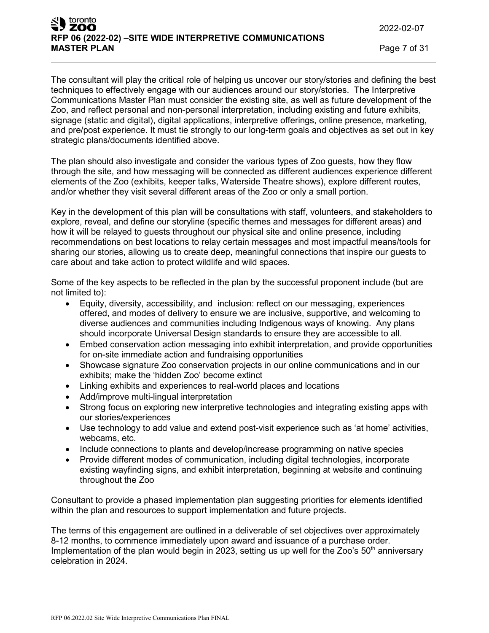The consultant will play the critical role of helping us uncover our story/stories and defining the best techniques to effectively engage with our audiences around our story/stories. The Interpretive Communications Master Plan must consider the existing site, as well as future development of the Zoo, and reflect personal and non-personal interpretation, including existing and future exhibits, signage (static and digital), digital applications, interpretive offerings, online presence, marketing, and pre/post experience. It must tie strongly to our long-term goals and objectives as set out in key strategic plans/documents identified above.

The plan should also investigate and consider the various types of Zoo guests, how they flow through the site, and how messaging will be connected as different audiences experience different elements of the Zoo (exhibits, keeper talks, Waterside Theatre shows), explore different routes, and/or whether they visit several different areas of the Zoo or only a small portion.

Key in the development of this plan will be consultations with staff, volunteers, and stakeholders to explore, reveal, and define our storyline (specific themes and messages for different areas) and how it will be relayed to guests throughout our physical site and online presence, including recommendations on best locations to relay certain messages and most impactful means/tools for sharing our stories, allowing us to create deep, meaningful connections that inspire our guests to care about and take action to protect wildlife and wild spaces.

Some of the key aspects to be reflected in the plan by the successful proponent include (but are not limited to):

- Equity, diversity, accessibility, and inclusion: reflect on our messaging, experiences offered, and modes of delivery to ensure we are inclusive, supportive, and welcoming to diverse audiences and communities including Indigenous ways of knowing. Any plans should incorporate Universal Design standards to ensure they are accessible to all.
- Embed conservation action messaging into exhibit interpretation, and provide opportunities for on-site immediate action and fundraising opportunities
- Showcase signature Zoo conservation projects in our online communications and in our exhibits; make the 'hidden Zoo' become extinct
- Linking exhibits and experiences to real-world places and locations
- Add/improve multi-lingual interpretation
- Strong focus on exploring new interpretive technologies and integrating existing apps with our stories/experiences
- Use technology to add value and extend post-visit experience such as 'at home' activities, webcams, etc.
- Include connections to plants and develop/increase programming on native species
- Provide different modes of communication, including digital technologies, incorporate existing wayfinding signs, and exhibit interpretation, beginning at website and continuing throughout the Zoo

Consultant to provide a phased implementation plan suggesting priorities for elements identified within the plan and resources to support implementation and future projects.

The terms of this engagement are outlined in a deliverable of set objectives over approximately 8-12 months, to commence immediately upon award and issuance of a purchase order. Implementation of the plan would begin in 2023, setting us up well for the Zoo's  $50<sup>th</sup>$  anniversary celebration in 2024.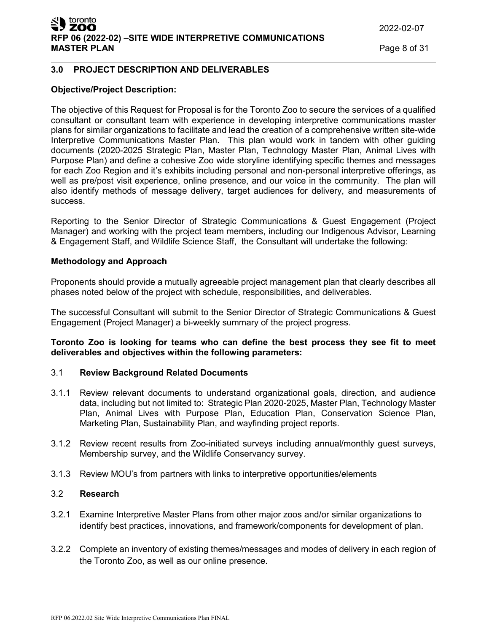# toronto ZOO **RFP 06 (2022-02) –SITE WIDE INTERPRETIVE COMMUNICATIONS**

#### **3.0 PROJECT DESCRIPTION AND DELIVERABLES**

#### **Objective/Project Description:**

The objective of this Request for Proposal is for the Toronto Zoo to secure the services of a qualified consultant or consultant team with experience in developing interpretive communications master plans for similar organizations to facilitate and lead the creation of a comprehensive written site-wide Interpretive Communications Master Plan. This plan would work in tandem with other guiding documents (2020-2025 Strategic Plan, Master Plan, Technology Master Plan, Animal Lives with Purpose Plan) and define a cohesive Zoo wide storyline identifying specific themes and messages for each Zoo Region and it's exhibits including personal and non-personal interpretive offerings, as well as pre/post visit experience, online presence, and our voice in the community. The plan will also identify methods of message delivery, target audiences for delivery, and measurements of success.

Reporting to the Senior Director of Strategic Communications & Guest Engagement (Project Manager) and working with the project team members, including our Indigenous Advisor, Learning & Engagement Staff, and Wildlife Science Staff, the Consultant will undertake the following:

#### **Methodology and Approach**

Proponents should provide a mutually agreeable project management plan that clearly describes all phases noted below of the project with schedule, responsibilities, and deliverables.

The successful Consultant will submit to the Senior Director of Strategic Communications & Guest Engagement (Project Manager) a bi-weekly summary of the project progress.

#### **Toronto Zoo is looking for teams who can define the best process they see fit to meet deliverables and objectives within the following parameters:**

#### 3.1 **Review Background Related Documents**

- 3.1.1 Review relevant documents to understand organizational goals, direction, and audience data, including but not limited to: Strategic Plan 2020-2025, Master Plan, Technology Master Plan, Animal Lives with Purpose Plan, Education Plan, Conservation Science Plan, Marketing Plan, Sustainability Plan, and wayfinding project reports.
- 3.1.2 Review recent results from Zoo-initiated surveys including annual/monthly guest surveys, Membership survey, and the Wildlife Conservancy survey.
- 3.1.3 Review MOU's from partners with links to interpretive opportunities/elements

### 3.2 **Research**

- 3.2.1 Examine Interpretive Master Plans from other major zoos and/or similar organizations to identify best practices, innovations, and framework/components for development of plan.
- 3.2.2 Complete an inventory of existing themes/messages and modes of delivery in each region of the Toronto Zoo, as well as our online presence.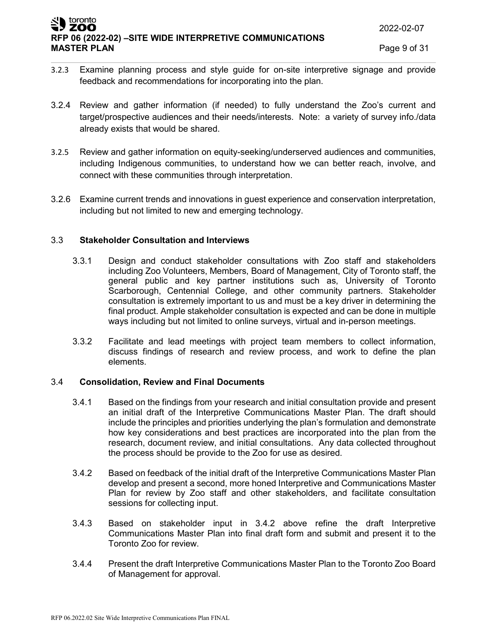#### toronto ZOO **RFP 06 (2022-02) –SITE WIDE INTERPRETIVE COMMUNICATIONS MASTER PLAN** Page 9 of 31

- 3.2.3 Examine planning process and style guide for on-site interpretive signage and provide feedback and recommendations for incorporating into the plan.
- 3.2.4 Review and gather information (if needed) to fully understand the Zoo's current and target/prospective audiences and their needs/interests. Note: a variety of survey info./data already exists that would be shared.
- 3.2.5 Review and gather information on equity-seeking/underserved audiences and communities, including Indigenous communities, to understand how we can better reach, involve, and connect with these communities through interpretation.
- 3.2.6 Examine current trends and innovations in guest experience and conservation interpretation, including but not limited to new and emerging technology.

### 3.3 **Stakeholder Consultation and Interviews**

- 3.3.1 Design and conduct stakeholder consultations with Zoo staff and stakeholders including Zoo Volunteers, Members, Board of Management, City of Toronto staff, the general public and key partner institutions such as, University of Toronto Scarborough, Centennial College, and other community partners. Stakeholder consultation is extremely important to us and must be a key driver in determining the final product. Ample stakeholder consultation is expected and can be done in multiple ways including but not limited to online surveys, virtual and in-person meetings.
- 3.3.2 Facilitate and lead meetings with project team members to collect information, discuss findings of research and review process, and work to define the plan elements.

#### 3.4 **Consolidation, Review and Final Documents**

- 3.4.1 Based on the findings from your research and initial consultation provide and present an initial draft of the Interpretive Communications Master Plan. The draft should include the principles and priorities underlying the plan's formulation and demonstrate how key considerations and best practices are incorporated into the plan from the research, document review, and initial consultations. Any data collected throughout the process should be provide to the Zoo for use as desired.
- 3.4.2 Based on feedback of the initial draft of the Interpretive Communications Master Plan develop and present a second, more honed Interpretive and Communications Master Plan for review by Zoo staff and other stakeholders, and facilitate consultation sessions for collecting input.
- 3.4.3 Based on stakeholder input in 3.4.2 above refine the draft Interpretive Communications Master Plan into final draft form and submit and present it to the Toronto Zoo for review.
- 3.4.4 Present the draft Interpretive Communications Master Plan to the Toronto Zoo Board of Management for approval.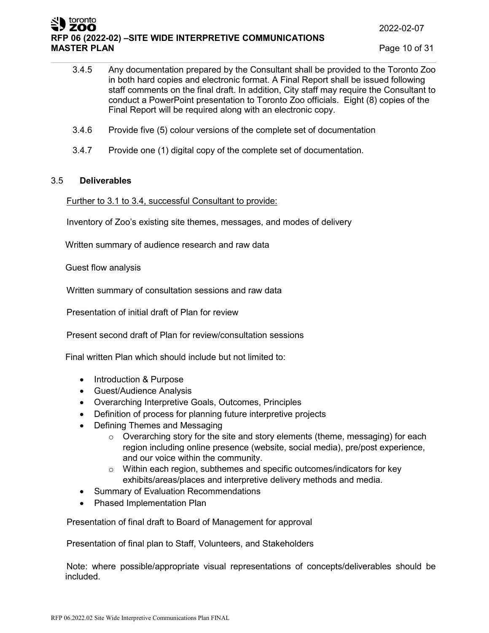# toronto ZOO **RFP 06 (2022-02) –SITE WIDE INTERPRETIVE COMMUNICATIONS**

**Page 10 of 31** 

- 3.4.5 Any documentation prepared by the Consultant shall be provided to the Toronto Zoo in both hard copies and electronic format. A Final Report shall be issued following staff comments on the final draft. In addition, City staff may require the Consultant to conduct a PowerPoint presentation to Toronto Zoo officials. Eight (8) copies of the Final Report will be required along with an electronic copy.
- 3.4.6 Provide five (5) colour versions of the complete set of documentation
- 3.4.7 Provide one (1) digital copy of the complete set of documentation.

### 3.5 **Deliverables**

Further to 3.1 to 3.4, successful Consultant to provide:

Inventory of Zoo's existing site themes, messages, and modes of delivery

Written summary of audience research and raw data

Guest flow analysis

Written summary of consultation sessions and raw data

Presentation of initial draft of Plan for review

Present second draft of Plan for review/consultation sessions

Final written Plan which should include but not limited to:

- Introduction & Purpose
- Guest/Audience Analysis
- Overarching Interpretive Goals, Outcomes, Principles
- Definition of process for planning future interpretive projects
- Defining Themes and Messaging
	- o Overarching story for the site and story elements (theme, messaging) for each region including online presence (website, social media), pre/post experience, and our voice within the community.
	- o Within each region, subthemes and specific outcomes/indicators for key exhibits/areas/places and interpretive delivery methods and media.
- Summary of Evaluation Recommendations
- Phased Implementation Plan

Presentation of final draft to Board of Management for approval

Presentation of final plan to Staff, Volunteers, and Stakeholders

Note: where possible/appropriate visual representations of concepts/deliverables should be included.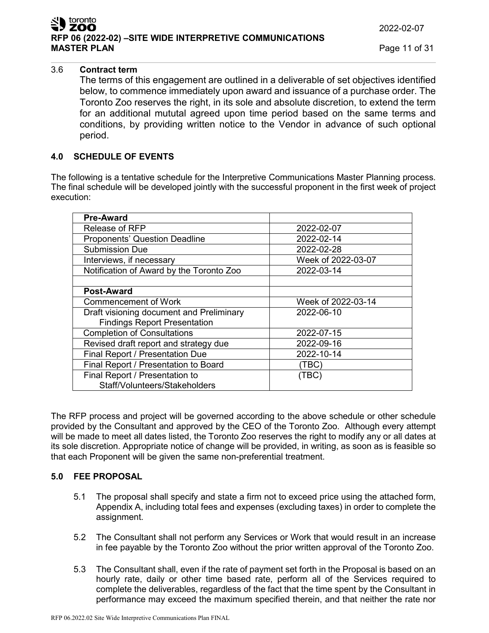# 3.6 **Contract term**

The terms of this engagement are outlined in a deliverable of set objectives identified below, to commence immediately upon award and issuance of a purchase order. The Toronto Zoo reserves the right, in its sole and absolute discretion, to extend the term for an additional mututal agreed upon time period based on the same terms and conditions, by providing written notice to the Vendor in advance of such optional period.

#### **4.0 SCHEDULE OF EVENTS**

The following is a tentative schedule for the Interpretive Communications Master Planning process. The final schedule will be developed jointly with the successful proponent in the first week of project execution:

| <b>Pre-Award</b>                         |                    |
|------------------------------------------|--------------------|
| Release of RFP                           | 2022-02-07         |
| <b>Proponents' Question Deadline</b>     | 2022-02-14         |
| <b>Submission Due</b>                    | 2022-02-28         |
| Interviews, if necessary                 | Week of 2022-03-07 |
| Notification of Award by the Toronto Zoo | 2022-03-14         |
|                                          |                    |
| <b>Post-Award</b>                        |                    |
| <b>Commencement of Work</b>              | Week of 2022-03-14 |
| Draft visioning document and Preliminary | 2022-06-10         |
| <b>Findings Report Presentation</b>      |                    |
| <b>Completion of Consultations</b>       | 2022-07-15         |
| Revised draft report and strategy due    | 2022-09-16         |
| Final Report / Presentation Due          | 2022-10-14         |
| Final Report / Presentation to Board     | (TBC)              |
| Final Report / Presentation to           | (TBC)              |
| Staff/Volunteers/Stakeholders            |                    |

The RFP process and project will be governed according to the above schedule or other schedule provided by the Consultant and approved by the CEO of the Toronto Zoo. Although every attempt will be made to meet all dates listed, the Toronto Zoo reserves the right to modify any or all dates at its sole discretion. Appropriate notice of change will be provided, in writing, as soon as is feasible so that each Proponent will be given the same non-preferential treatment.

# **5.0 FEE PROPOSAL**

- 5.1 The proposal shall specify and state a firm not to exceed price using the attached form, Appendix A, including total fees and expenses (excluding taxes) in order to complete the assignment.
- 5.2 The Consultant shall not perform any Services or Work that would result in an increase in fee payable by the Toronto Zoo without the prior written approval of the Toronto Zoo.
- 5.3 The Consultant shall, even if the rate of payment set forth in the Proposal is based on an hourly rate, daily or other time based rate, perform all of the Services required to complete the deliverables, regardless of the fact that the time spent by the Consultant in performance may exceed the maximum specified therein, and that neither the rate nor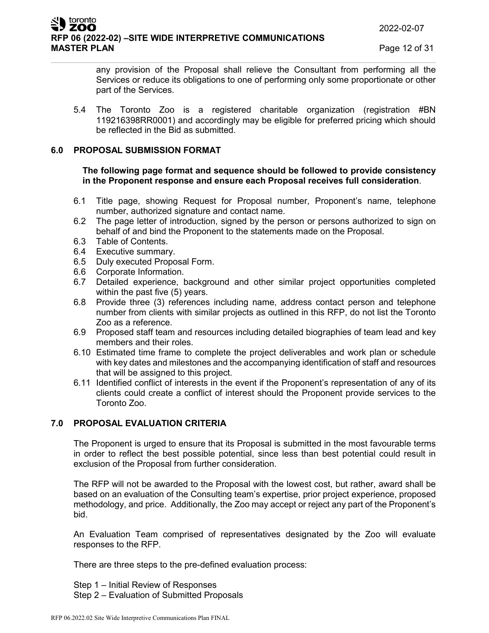any provision of the Proposal shall relieve the Consultant from performing all the Services or reduce its obligations to one of performing only some proportionate or other part of the Services.

5.4 The Toronto Zoo is a registered charitable organization (registration #BN 119216398RR0001) and accordingly may be eligible for preferred pricing which should be reflected in the Bid as submitted.

# **6.0 PROPOSAL SUBMISSION FORMAT**

#### **The following page format and sequence should be followed to provide consistency in the Proponent response and ensure each Proposal receives full consideration**.

- 6.1 Title page, showing Request for Proposal number, Proponent's name, telephone number, authorized signature and contact name.
- 6.2 The page letter of introduction, signed by the person or persons authorized to sign on behalf of and bind the Proponent to the statements made on the Proposal.
- 6.3 Table of Contents.
- 6.4 Executive summary.
- 6.5 Duly executed Proposal Form.
- 6.6 Corporate Information.
- 6.7 Detailed experience, background and other similar project opportunities completed within the past five (5) years.
- 6.8 Provide three (3) references including name, address contact person and telephone number from clients with similar projects as outlined in this RFP, do not list the Toronto Zoo as a reference.
- 6.9 Proposed staff team and resources including detailed biographies of team lead and key members and their roles.
- 6.10 Estimated time frame to complete the project deliverables and work plan or schedule with key dates and milestones and the accompanying identification of staff and resources that will be assigned to this project.
- 6.11 Identified conflict of interests in the event if the Proponent's representation of any of its clients could create a conflict of interest should the Proponent provide services to the Toronto Zoo.

# **7.0 PROPOSAL EVALUATION CRITERIA**

The Proponent is urged to ensure that its Proposal is submitted in the most favourable terms in order to reflect the best possible potential, since less than best potential could result in exclusion of the Proposal from further consideration.

The RFP will not be awarded to the Proposal with the lowest cost, but rather, award shall be based on an evaluation of the Consulting team's expertise, prior project experience, proposed methodology, and price. Additionally, the Zoo may accept or reject any part of the Proponent's bid.

An Evaluation Team comprised of representatives designated by the Zoo will evaluate responses to the RFP.

There are three steps to the pre-defined evaluation process:

Step 1 – Initial Review of Responses Step 2 – Evaluation of Submitted Proposals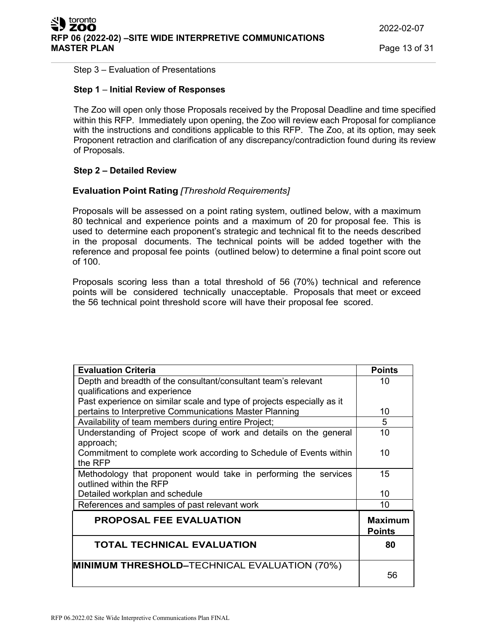#### Step 3 – Evaluation of Presentations

#### **Step 1** – **Initial Review of Responses**

The Zoo will open only those Proposals received by the Proposal Deadline and time specified within this RFP. Immediately upon opening, the Zoo will review each Proposal for compliance with the instructions and conditions applicable to this RFP. The Zoo, at its option, may seek Proponent retraction and clarification of any discrepancy/contradiction found during its review of Proposals.

### **Step 2 – Detailed Review**

### **Evaluation Point Rating** *[Threshold Requirements]*

Proposals will be assessed on a point rating system, outlined below, with a maximum 80 technical and experience points and a maximum of 20 for proposal fee. This is used to determine each proponent's strategic and technical fit to the needs described in the proposal documents. The technical points will be added together with the reference and proposal fee points (outlined below) to determine a final point score out of 100.

Proposals scoring less than a total threshold of 56 (70%) technical and reference points will be considered technically unacceptable. Proposals that meet or exceed the 56 technical point threshold score will have their proposal fee scored.

| <b>Evaluation Criteria</b>                                             | <b>Points</b>  |
|------------------------------------------------------------------------|----------------|
| Depth and breadth of the consultant/consultant team's relevant         | 10             |
| qualifications and experience                                          |                |
| Past experience on similar scale and type of projects especially as it |                |
| pertains to Interpretive Communications Master Planning                | 10             |
| Availability of team members during entire Project;                    | 5              |
| Understanding of Project scope of work and details on the general      | 10             |
| approach;                                                              |                |
| Commitment to complete work according to Schedule of Events within     | 10             |
| the RFP                                                                |                |
| Methodology that proponent would take in performing the services       | 15             |
| outlined within the RFP                                                |                |
| Detailed workplan and schedule                                         | 10             |
| References and samples of past relevant work                           | 10             |
| <b>PROPOSAL FEE EVALUATION</b>                                         | <b>Maximum</b> |
|                                                                        | <b>Points</b>  |
| <b>TOTAL TECHNICAL EVALUATION</b>                                      | 80             |
|                                                                        |                |
| MINIMUM THRESHOLD-TECHNICAL EVALUATION (70%)                           |                |
|                                                                        | 56             |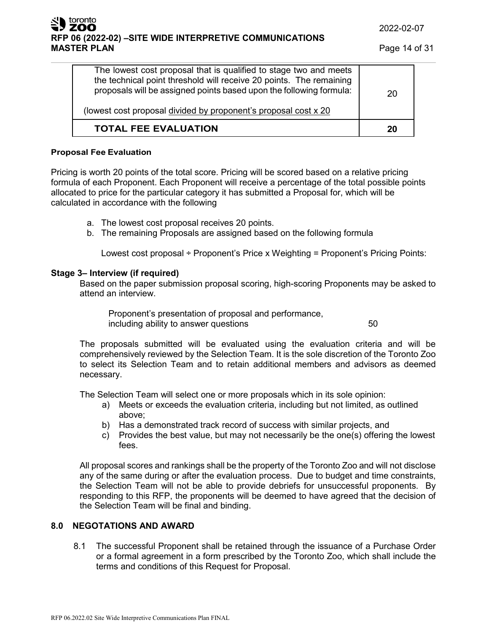# toronto **RFP 06 (2022-02) –SITE WIDE INTERPRETIVE COMMUNICATIONS**

| The lowest cost proposal that is qualified to stage two and meets<br>the technical point threshold will receive 20 points. The remaining<br>proposals will be assigned points based upon the following formula:<br>(lowest cost proposal divided by proponent's proposal cost x 20 | 20 |
|------------------------------------------------------------------------------------------------------------------------------------------------------------------------------------------------------------------------------------------------------------------------------------|----|
| <b>TOTAL FEE EVALUATION</b>                                                                                                                                                                                                                                                        | 20 |

#### **Proposal Fee Evaluation**

Pricing is worth 20 points of the total score. Pricing will be scored based on a relative pricing formula of each Proponent. Each Proponent will receive a percentage of the total possible points allocated to price for the particular category it has submitted a Proposal for, which will be calculated in accordance with the following

- a. The lowest cost proposal receives 20 points.
- b. The remaining Proposals are assigned based on the following formula

Lowest cost proposal ÷ Proponent's Price x Weighting = Proponent's Pricing Points:

### **Stage 3– Interview (if required)**

Based on the paper submission proposal scoring, high-scoring Proponents may be asked to attend an interview.

Proponent's presentation of proposal and performance, including ability to answer questions **50** 

The proposals submitted will be evaluated using the evaluation criteria and will be comprehensively reviewed by the Selection Team. It is the sole discretion of the Toronto Zoo to select its Selection Team and to retain additional members and advisors as deemed necessary.

The Selection Team will select one or more proposals which in its sole opinion:

- a) Meets or exceeds the evaluation criteria, including but not limited, as outlined above;
- b) Has a demonstrated track record of success with similar projects, and
- c) Provides the best value, but may not necessarily be the one(s) offering the lowest fees.

All proposal scores and rankings shall be the property of the Toronto Zoo and will not disclose any of the same during or after the evaluation process. Due to budget and time constraints, the Selection Team will not be able to provide debriefs for unsuccessful proponents. By responding to this RFP, the proponents will be deemed to have agreed that the decision of the Selection Team will be final and binding.

# **8.0 NEGOTATIONS AND AWARD**

8.1 The successful Proponent shall be retained through the issuance of a Purchase Order or a formal agreement in a form prescribed by the Toronto Zoo, which shall include the terms and conditions of this Request for Proposal.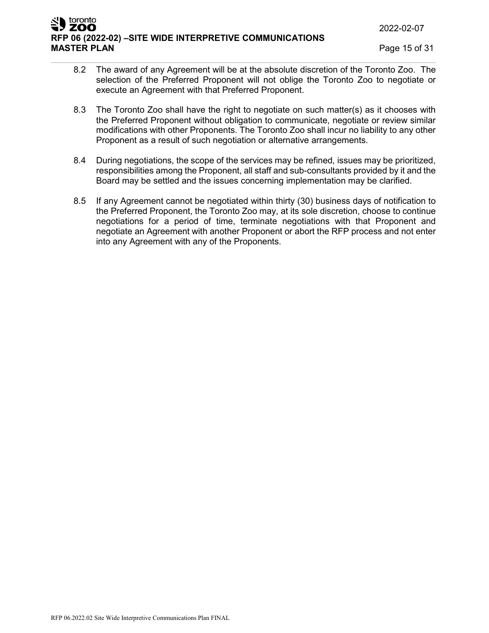2022-02-07

#### toronto ZOO **RFP 06 (2022-02) –SITE WIDE INTERPRETIVE COMMUNICATIONS MASTER PLAN** Page 15 of 31

- 8.2 The award of any Agreement will be at the absolute discretion of the Toronto Zoo. The selection of the Preferred Proponent will not oblige the Toronto Zoo to negotiate or execute an Agreement with that Preferred Proponent.
- 8.3 The Toronto Zoo shall have the right to negotiate on such matter(s) as it chooses with the Preferred Proponent without obligation to communicate, negotiate or review similar modifications with other Proponents. The Toronto Zoo shall incur no liability to any other Proponent as a result of such negotiation or alternative arrangements.
- 8.4 During negotiations, the scope of the services may be refined, issues may be prioritized, responsibilities among the Proponent, all staff and sub-consultants provided by it and the Board may be settled and the issues concerning implementation may be clarified.
- 8.5 If any Agreement cannot be negotiated within thirty (30) business days of notification to the Preferred Proponent, the Toronto Zoo may, at its sole discretion, choose to continue negotiations for a period of time, terminate negotiations with that Proponent and negotiate an Agreement with another Proponent or abort the RFP process and not enter into any Agreement with any of the Proponents.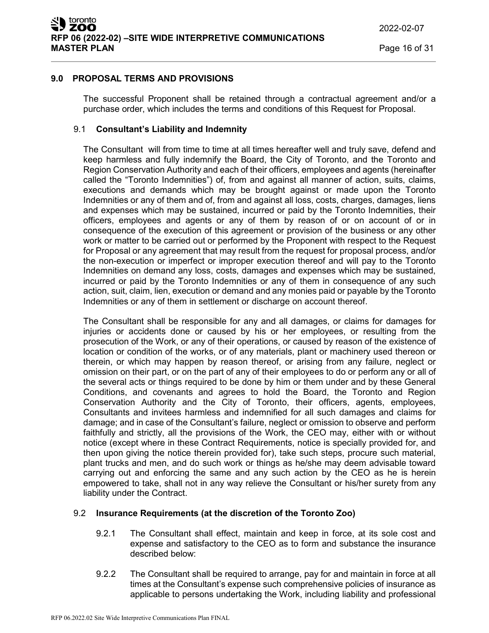# **9.0 PROPOSAL TERMS AND PROVISIONS**

The successful Proponent shall be retained through a contractual agreement and/or a purchase order, which includes the terms and conditions of this Request for Proposal.

# 9.1 **Consultant's Liability and Indemnity**

The Consultant will from time to time at all times hereafter well and truly save, defend and keep harmless and fully indemnify the Board, the City of Toronto, and the Toronto and Region Conservation Authority and each of their officers, employees and agents (hereinafter called the "Toronto Indemnities") of, from and against all manner of action, suits, claims, executions and demands which may be brought against or made upon the Toronto Indemnities or any of them and of, from and against all loss, costs, charges, damages, liens and expenses which may be sustained, incurred or paid by the Toronto Indemnities, their officers, employees and agents or any of them by reason of or on account of or in consequence of the execution of this agreement or provision of the business or any other work or matter to be carried out or performed by the Proponent with respect to the Request for Proposal or any agreement that may result from the request for proposal process, and/or the non-execution or imperfect or improper execution thereof and will pay to the Toronto Indemnities on demand any loss, costs, damages and expenses which may be sustained, incurred or paid by the Toronto Indemnities or any of them in consequence of any such action, suit, claim, lien, execution or demand and any monies paid or payable by the Toronto Indemnities or any of them in settlement or discharge on account thereof.

The Consultant shall be responsible for any and all damages, or claims for damages for injuries or accidents done or caused by his or her employees, or resulting from the prosecution of the Work, or any of their operations, or caused by reason of the existence of location or condition of the works, or of any materials, plant or machinery used thereon or therein, or which may happen by reason thereof, or arising from any failure, neglect or omission on their part, or on the part of any of their employees to do or perform any or all of the several acts or things required to be done by him or them under and by these General Conditions, and covenants and agrees to hold the Board, the Toronto and Region Conservation Authority and the City of Toronto, their officers, agents, employees, Consultants and invitees harmless and indemnified for all such damages and claims for damage; and in case of the Consultant's failure, neglect or omission to observe and perform faithfully and strictly, all the provisions of the Work, the CEO may, either with or without notice (except where in these Contract Requirements, notice is specially provided for, and then upon giving the notice therein provided for), take such steps, procure such material, plant trucks and men, and do such work or things as he/she may deem advisable toward carrying out and enforcing the same and any such action by the CEO as he is herein empowered to take, shall not in any way relieve the Consultant or his/her surety from any liability under the Contract.

# 9.2 **Insurance Requirements (at the discretion of the Toronto Zoo)**

- 9.2.1 The Consultant shall effect, maintain and keep in force, at its sole cost and expense and satisfactory to the CEO as to form and substance the insurance described below:
- 9.2.2 The Consultant shall be required to arrange, pay for and maintain in force at all times at the Consultant's expense such comprehensive policies of insurance as applicable to persons undertaking the Work, including liability and professional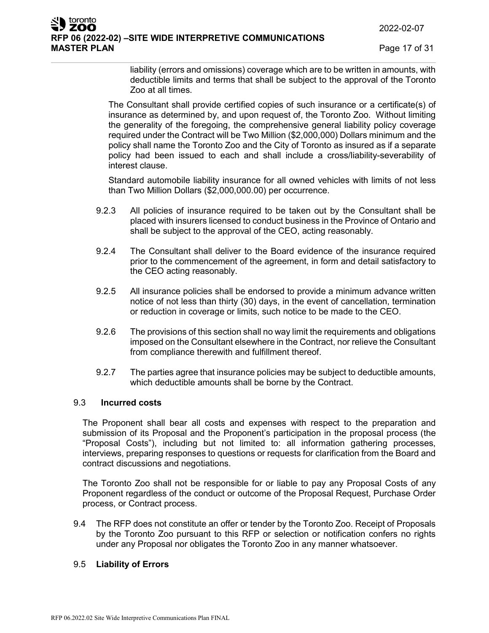2022-02-07

**Page 17 of 31** 

liability (errors and omissions) coverage which are to be written in amounts, with deductible limits and terms that shall be subject to the approval of the Toronto Zoo at all times.

The Consultant shall provide certified copies of such insurance or a certificate(s) of insurance as determined by, and upon request of, the Toronto Zoo. Without limiting the generality of the foregoing, the comprehensive general liability policy coverage required under the Contract will be Two Million (\$2,000,000) Dollars minimum and the policy shall name the Toronto Zoo and the City of Toronto as insured as if a separate policy had been issued to each and shall include a cross/liability-severability of interest clause.

Standard automobile liability insurance for all owned vehicles with limits of not less than Two Million Dollars (\$2,000,000.00) per occurrence.

- 9.2.3 All policies of insurance required to be taken out by the Consultant shall be placed with insurers licensed to conduct business in the Province of Ontario and shall be subject to the approval of the CEO, acting reasonably.
- 9.2.4 The Consultant shall deliver to the Board evidence of the insurance required prior to the commencement of the agreement, in form and detail satisfactory to the CEO acting reasonably.
- 9.2.5 All insurance policies shall be endorsed to provide a minimum advance written notice of not less than thirty (30) days, in the event of cancellation, termination or reduction in coverage or limits, such notice to be made to the CEO.
- 9.2.6 The provisions of this section shall no way limit the requirements and obligations imposed on the Consultant elsewhere in the Contract, nor relieve the Consultant from compliance therewith and fulfillment thereof.
- 9.2.7 The parties agree that insurance policies may be subject to deductible amounts, which deductible amounts shall be borne by the Contract.

# 9.3 **Incurred costs**

The Proponent shall bear all costs and expenses with respect to the preparation and submission of its Proposal and the Proponent's participation in the proposal process (the "Proposal Costs"), including but not limited to: all information gathering processes, interviews, preparing responses to questions or requests for clarification from the Board and contract discussions and negotiations.

The Toronto Zoo shall not be responsible for or liable to pay any Proposal Costs of any Proponent regardless of the conduct or outcome of the Proposal Request, Purchase Order process, or Contract process.

9.4 The RFP does not constitute an offer or tender by the Toronto Zoo. Receipt of Proposals by the Toronto Zoo pursuant to this RFP or selection or notification confers no rights under any Proposal nor obligates the Toronto Zoo in any manner whatsoever.

#### 9.5 **Liability of Errors**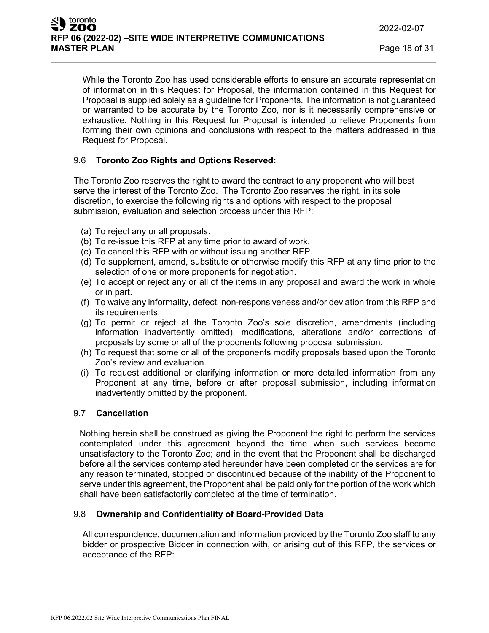While the Toronto Zoo has used considerable efforts to ensure an accurate representation of information in this Request for Proposal, the information contained in this Request for Proposal is supplied solely as a guideline for Proponents. The information is not guaranteed or warranted to be accurate by the Toronto Zoo, nor is it necessarily comprehensive or exhaustive. Nothing in this Request for Proposal is intended to relieve Proponents from forming their own opinions and conclusions with respect to the matters addressed in this Request for Proposal.

# 9.6 **Toronto Zoo Rights and Options Reserved:**

The Toronto Zoo reserves the right to award the contract to any proponent who will best serve the interest of the Toronto Zoo. The Toronto Zoo reserves the right, in its sole discretion, to exercise the following rights and options with respect to the proposal submission, evaluation and selection process under this RFP:

- (a) To reject any or all proposals.
- (b) To re-issue this RFP at any time prior to award of work.
- (c) To cancel this RFP with or without issuing another RFP.
- (d) To supplement, amend, substitute or otherwise modify this RFP at any time prior to the selection of one or more proponents for negotiation.
- (e) To accept or reject any or all of the items in any proposal and award the work in whole or in part.
- (f) To waive any informality, defect, non-responsiveness and/or deviation from this RFP and its requirements.
- (g) To permit or reject at the Toronto Zoo's sole discretion, amendments (including information inadvertently omitted), modifications, alterations and/or corrections of proposals by some or all of the proponents following proposal submission.
- (h) To request that some or all of the proponents modify proposals based upon the Toronto Zoo's review and evaluation.
- (i) To request additional or clarifying information or more detailed information from any Proponent at any time, before or after proposal submission, including information inadvertently omitted by the proponent.

# 9.7 **Cancellation**

Nothing herein shall be construed as giving the Proponent the right to perform the services contemplated under this agreement beyond the time when such services become unsatisfactory to the Toronto Zoo; and in the event that the Proponent shall be discharged before all the services contemplated hereunder have been completed or the services are for any reason terminated, stopped or discontinued because of the inability of the Proponent to serve under this agreement, the Proponent shall be paid only for the portion of the work which shall have been satisfactorily completed at the time of termination.

#### 9.8 **Ownership and Confidentiality of Board-Provided Data**

All correspondence, documentation and information provided by the Toronto Zoo staff to any bidder or prospective Bidder in connection with, or arising out of this RFP, the services or acceptance of the RFP: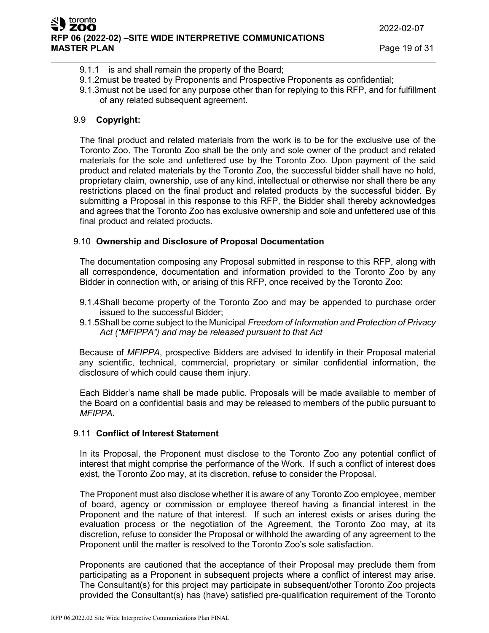- 9.1.1 is and shall remain the property of the Board;
- 9.1.2must be treated by Proponents and Prospective Proponents as confidential;
- 9.1.3must not be used for any purpose other than for replying to this RFP, and for fulfillment of any related subsequent agreement.

# 9.9 **Copyright:**

The final product and related materials from the work is to be for the exclusive use of the Toronto Zoo. The Toronto Zoo shall be the only and sole owner of the product and related materials for the sole and unfettered use by the Toronto Zoo. Upon payment of the said product and related materials by the Toronto Zoo, the successful bidder shall have no hold, proprietary claim, ownership, use of any kind, intellectual or otherwise nor shall there be any restrictions placed on the final product and related products by the successful bidder. By submitting a Proposal in this response to this RFP, the Bidder shall thereby acknowledges and agrees that the Toronto Zoo has exclusive ownership and sole and unfettered use of this final product and related products.

# 9.10 **Ownership and Disclosure of Proposal Documentation**

The documentation composing any Proposal submitted in response to this RFP, along with all correspondence, documentation and information provided to the Toronto Zoo by any Bidder in connection with, or arising of this RFP, once received by the Toronto Zoo:

- 9.1.4Shall become property of the Toronto Zoo and may be appended to purchase order issued to the successful Bidder;
- 9.1.5Shall be come subject to the Municipal *Freedom of Information and Protection of Privacy Act ("MFIPPA") and may be released pursuant to that Act*

Because of *MFIPPA*, prospective Bidders are advised to identify in their Proposal material any scientific, technical, commercial, proprietary or similar confidential information, the disclosure of which could cause them injury.

Each Bidder's name shall be made public. Proposals will be made available to member of the Board on a confidential basis and may be released to members of the public pursuant to *MFIPPA.*

# 9.11 **Conflict of Interest Statement**

In its Proposal, the Proponent must disclose to the Toronto Zoo any potential conflict of interest that might comprise the performance of the Work. If such a conflict of interest does exist, the Toronto Zoo may, at its discretion, refuse to consider the Proposal.

The Proponent must also disclose whether it is aware of any Toronto Zoo employee, member of board, agency or commission or employee thereof having a financial interest in the Proponent and the nature of that interest. If such an interest exists or arises during the evaluation process or the negotiation of the Agreement, the Toronto Zoo may, at its discretion, refuse to consider the Proposal or withhold the awarding of any agreement to the Proponent until the matter is resolved to the Toronto Zoo's sole satisfaction.

Proponents are cautioned that the acceptance of their Proposal may preclude them from participating as a Proponent in subsequent projects where a conflict of interest may arise. The Consultant(s) for this project may participate in subsequent/other Toronto Zoo projects provided the Consultant(s) has (have) satisfied pre-qualification requirement of the Toronto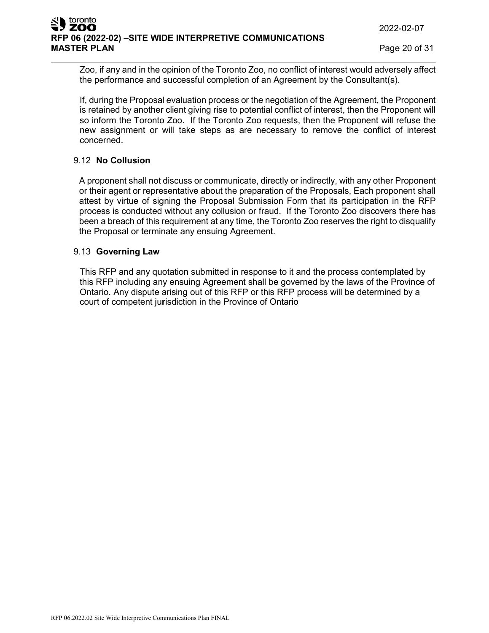**MASTER PLAN** Page 20 of 31

Zoo, if any and in the opinion of the Toronto Zoo, no conflict of interest would adversely affect the performance and successful completion of an Agreement by the Consultant(s).

If, during the Proposal evaluation process or the negotiation of the Agreement, the Proponent is retained by another client giving rise to potential conflict of interest, then the Proponent will so inform the Toronto Zoo. If the Toronto Zoo requests, then the Proponent will refuse the new assignment or will take steps as are necessary to remove the conflict of interest concerned.

# 9.12 **No Collusion**

A proponent shall not discuss or communicate, directly or indirectly, with any other Proponent or their agent or representative about the preparation of the Proposals, Each proponent shall attest by virtue of signing the Proposal Submission Form that its participation in the RFP process is conducted without any collusion or fraud. If the Toronto Zoo discovers there has been a breach of this requirement at any time, the Toronto Zoo reserves the right to disqualify the Proposal or terminate any ensuing Agreement.

# 9.13 **Governing Law**

This RFP and any quotation submitted in response to it and the process contemplated by this RFP including any ensuing Agreement shall be governed by the laws of the Province of Ontario. Any dispute arising out of this RFP or this RFP process will be determined by a court of competent ju**r**isdiction in the Province of Ontario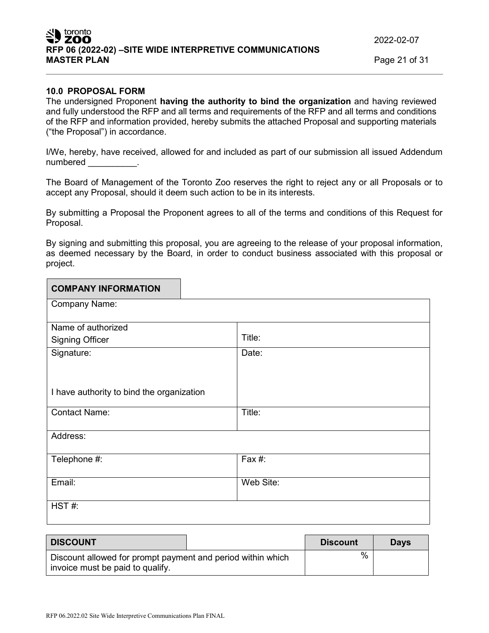2022-02-07

**MASTER PLAN** Page 21 of 31

#### **10.0 PROPOSAL FORM**

The undersigned Proponent **having the authority to bind the organization** and having reviewed and fully understood the RFP and all terms and requirements of the RFP and all terms and conditions of the RFP and information provided, hereby submits the attached Proposal and supporting materials ("the Proposal") in accordance.

I/We, hereby, have received, allowed for and included as part of our submission all issued Addendum numbered \_\_\_\_\_\_\_\_\_\_.

The Board of Management of the Toronto Zoo reserves the right to reject any or all Proposals or to accept any Proposal, should it deem such action to be in its interests.

By submitting a Proposal the Proponent agrees to all of the terms and conditions of this Request for Proposal.

By signing and submitting this proposal, you are agreeing to the release of your proposal information, as deemed necessary by the Board, in order to conduct business associated with this proposal or project.

| <b>COMPANY INFORMATION</b>                |           |
|-------------------------------------------|-----------|
| Company Name:                             |           |
|                                           |           |
| Name of authorized                        |           |
| <b>Signing Officer</b>                    | Title:    |
| Signature:                                | Date:     |
|                                           |           |
|                                           |           |
| I have authority to bind the organization |           |
|                                           |           |
| <b>Contact Name:</b>                      | Title:    |
|                                           |           |
| Address:                                  |           |
|                                           |           |
| Telephone #:                              | Fax #:    |
|                                           |           |
| Email:                                    | Web Site: |
|                                           |           |
| HST#:                                     |           |
|                                           |           |

| <b>DISCOUNT</b>                                                                                 |  | <b>Discount</b> | <b>Davs</b> |
|-------------------------------------------------------------------------------------------------|--|-----------------|-------------|
| Discount allowed for prompt payment and period within which<br>invoice must be paid to qualify. |  | %               |             |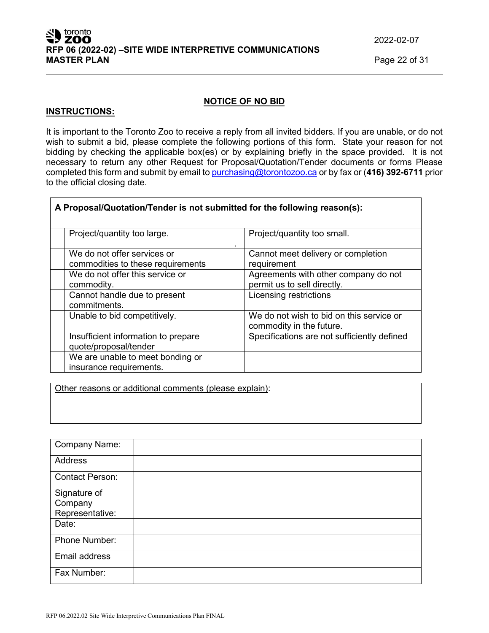| RFP 06.2022.02 Site Wide Interpretive Communications Plan FINAL |  |  |  |  |
|-----------------------------------------------------------------|--|--|--|--|
|-----------------------------------------------------------------|--|--|--|--|

| SU toronto                                              |
|---------------------------------------------------------|
| RFP 06 (2022-02) -SITE WIDE INTERPRETIVE COMMUNICATIONS |
| <b>MASTER PLAN</b>                                      |

2022-02-07

**MASTER PLAN** Page 22 of 31

#### **NOTICE OF NO BID**

#### **INSTRUCTIONS:**

It is important to the Toronto Zoo to receive a reply from all invited bidders. If you are unable, or do not wish to submit a bid, please complete the following portions of this form. State your reason for not bidding by checking the applicable box(es) or by explaining briefly in the space provided. It is not necessary to return any other Request for Proposal/Quotation/Tender documents or forms Please completed this form and submit by email to [purchasing@torontozoo.ca](mailto:purchasing@torontozoo.ca) or by fax or (**416) 392-6711** prior to the official closing date.

| Project/quantity too large.         | Project/quantity too small.<br>٠            |
|-------------------------------------|---------------------------------------------|
| We do not offer services or         | Cannot meet delivery or completion          |
| commodities to these requirements   | requirement                                 |
| We do not offer this service or     | Agreements with other company do not        |
| commodity.                          | permit us to sell directly.                 |
| Cannot handle due to present        | Licensing restrictions                      |
| commitments.                        |                                             |
| Unable to bid competitively.        | We do not wish to bid on this service or    |
|                                     | commodity in the future.                    |
| Insufficient information to prepare | Specifications are not sufficiently defined |
| quote/proposal/tender               |                                             |
| We are unable to meet bonding or    |                                             |
| insurance requirements.             |                                             |

**A Proposal/Quotation/Tender is not submitted for the following reason(s):**

Other reasons or additional comments (please explain):

| <b>Company Name:</b>   |  |
|------------------------|--|
| Address                |  |
| <b>Contact Person:</b> |  |
| Signature of           |  |
| Company                |  |
| Representative:        |  |
| Date:                  |  |
| Phone Number:          |  |
| Email address          |  |
| Fax Number:            |  |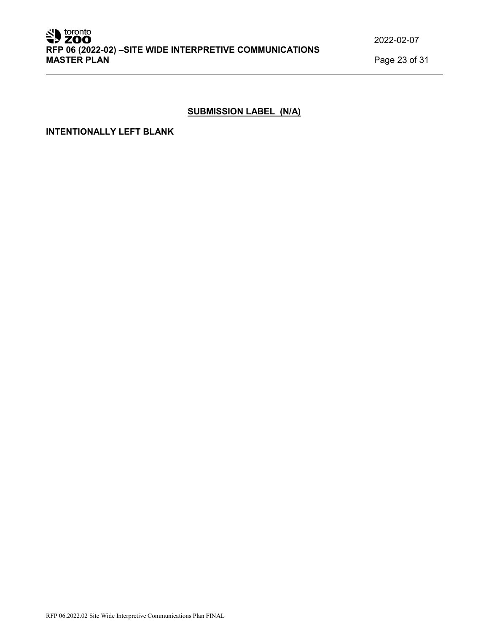# **SUBMISSION LABEL (N/A)**

### **INTENTIONALLY LEFT BLANK**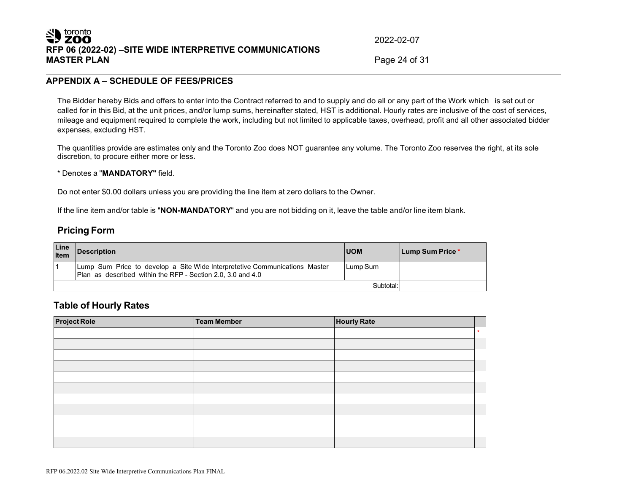# SID toronto **RFP 06 (2022-02) –SITE WIDE INTERPRETIVE COMMUNICATIONS**

2022-02-07

Page 24 of 31

#### **APPENDIX A – SCHEDULE OF FEES/PRICES**

The Bidder hereby Bids and offers to enter into the Contract referred to and to supply and do all or any part of the Work which is set out or called for in this Bid, at the unit prices, and/or lump sums, hereinafter stated, HST is additional. Hourly rates are inclusive of the cost of services, mileage and equipment required to complete the work, including but not limited to applicable taxes, overhead, profit and all other associated bidder expenses, excluding HST.

The quantities provide are estimates only and the Toronto Zoo does NOT guarantee any volume. The Toronto Zoo reserves the right, at its sole discretion, to procure either more or less**.**

\* Denotes a "**MANDATORY"** field.

Do not enter \$0.00 dollars unless you are providing the line item at zero dollars to the Owner.

If the line item and/or table is "**NON-MANDATORY**" and you are not bidding on it, leave the table and/or line item blank.

# **Pricing Form**

| Line<br>Item | <b>Description</b>                                                                                                                        | <b>IUOM</b> | Lump Sum Price * |
|--------------|-------------------------------------------------------------------------------------------------------------------------------------------|-------------|------------------|
|              | Lump Sum Price to develop a Site Wide Interpretetive Communications Master<br>Plan as described within the RFP - Section 2.0, 3.0 and 4.0 | Lump Sum    |                  |
|              |                                                                                                                                           | Subtotal:   |                  |

#### **Table of Hourly Rates**

| <b>Project Role</b> | Team Member | <b>Hourly Rate</b> |         |
|---------------------|-------------|--------------------|---------|
|                     |             |                    | $\star$ |
|                     |             |                    |         |
|                     |             |                    |         |
|                     |             |                    |         |
|                     |             |                    |         |
|                     |             |                    |         |
|                     |             |                    |         |
|                     |             |                    |         |
|                     |             |                    |         |
|                     |             |                    |         |
|                     |             |                    |         |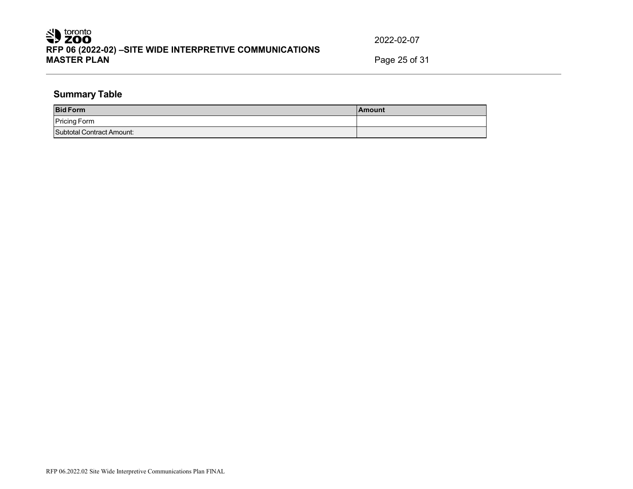# Superiorphic **RFP 06 (2022-02) –SITE WIDE INTERPRETIVE COMMUNICATIONS**

2022-02-07

**MASTER PLAN** Page 25 of 31

# **Summary Table**

| <b>Bid Form</b>           | <b>IAmount</b> |
|---------------------------|----------------|
| <b>Pricing Form</b>       |                |
| Subtotal Contract Amount: |                |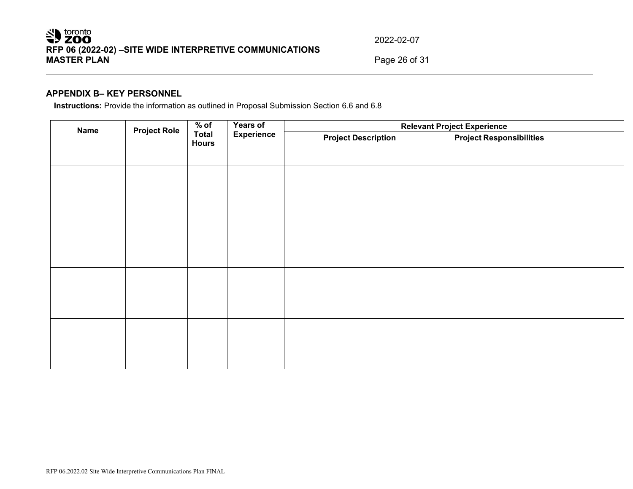# Superiorphic **RFP 06 (2022-02) –SITE WIDE INTERPRETIVE COMMUNICATIONS**

2022-02-07

**MASTER PLAN** Page 26 of 31

# **APPENDIX B– KEY PERSONNEL**

**Instructions:** Provide the information as outlined in Proposal Submission Section 6.6 and 6.8

| <b>Name</b> | <b>Project Role</b> | $%$ of<br><b>Years of</b><br><b>Experience</b><br><b>Total</b><br><b>Hours</b> |                            |                                 | <b>Relevant Project Experience</b> |  |
|-------------|---------------------|--------------------------------------------------------------------------------|----------------------------|---------------------------------|------------------------------------|--|
|             |                     |                                                                                | <b>Project Description</b> | <b>Project Responsibilities</b> |                                    |  |
|             |                     |                                                                                |                            |                                 |                                    |  |
|             |                     |                                                                                |                            |                                 |                                    |  |
|             |                     |                                                                                |                            |                                 |                                    |  |
|             |                     |                                                                                |                            |                                 |                                    |  |
|             |                     |                                                                                |                            |                                 |                                    |  |
|             |                     |                                                                                |                            |                                 |                                    |  |
|             |                     |                                                                                |                            |                                 |                                    |  |
|             |                     |                                                                                |                            |                                 |                                    |  |
|             |                     |                                                                                |                            |                                 |                                    |  |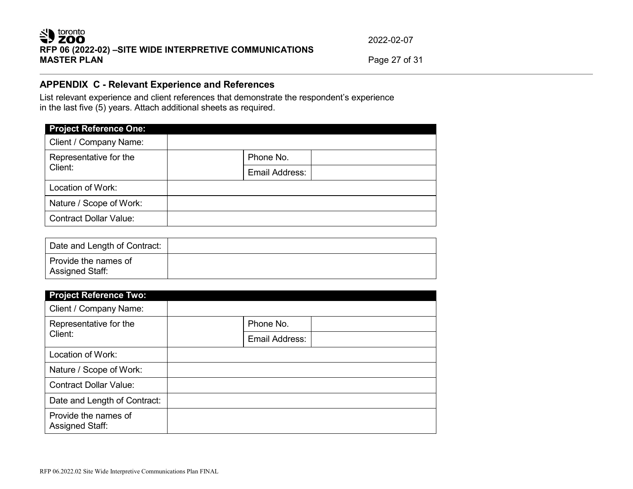# SU toronto **RFP 06 (2022-02) –SITE WIDE INTERPRETIVE COMMUNICATIONS**

2022-02-07

**MASTER PLAN** Page 27 of 31

# **APPENDIX C - Relevant Experience and References**

List relevant experience and client references that demonstrate the respondent's experience in the last five (5) years. Attach additional sheets as required.

| <b>Project Reference One:</b>     |                |
|-----------------------------------|----------------|
| Client / Company Name:            |                |
| Representative for the<br>Client: | Phone No.      |
|                                   | Email Address: |
| Location of Work:                 |                |
| Nature / Scope of Work:           |                |
| <b>Contract Dollar Value:</b>     |                |

| Date and Length of Contract:                   |  |
|------------------------------------------------|--|
| Provide the names of<br><b>Assigned Staff:</b> |  |

| <b>Project Reference Two:</b>                  |                |
|------------------------------------------------|----------------|
| Client / Company Name:                         |                |
| Representative for the<br>Client:              | Phone No.      |
|                                                | Email Address: |
| Location of Work:                              |                |
| Nature / Scope of Work:                        |                |
| <b>Contract Dollar Value:</b>                  |                |
| Date and Length of Contract:                   |                |
| Provide the names of<br><b>Assigned Staff:</b> |                |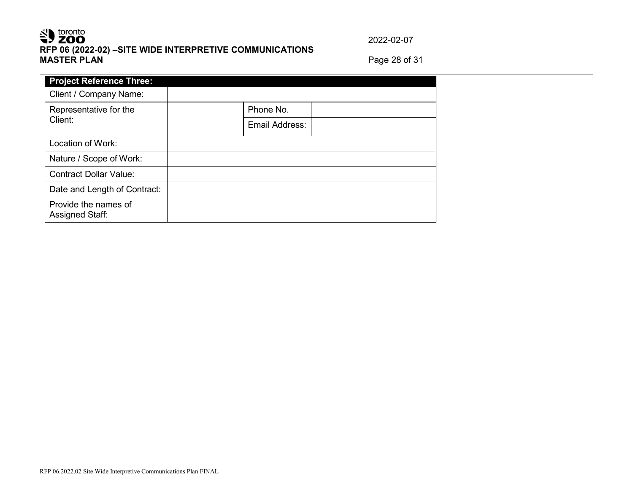# SU toronto **RFP 06 (2022-02) –SITE WIDE INTERPRETIVE COMMUNICATIONS**

2022-02-07

**MASTER PLAN** Page 28 of 31

| <b>Project Reference Three:</b>         |                |
|-----------------------------------------|----------------|
| Client / Company Name:                  |                |
| Representative for the<br>Client:       | Phone No.      |
|                                         | Email Address: |
| Location of Work:                       |                |
| Nature / Scope of Work:                 |                |
| <b>Contract Dollar Value:</b>           |                |
| Date and Length of Contract:            |                |
| Provide the names of<br>Assigned Staff: |                |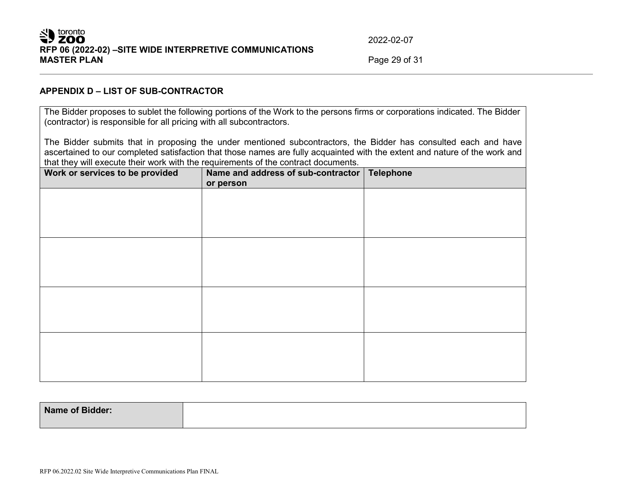# Solution by toronto **RFP 06 (2022-02) –SITE WIDE INTERPRETIVE COMMUNICATIONS**

2022-02-07

**MASTER PLAN** Page 29 of 31

#### **APPENDIX D – LIST OF SUB-CONTRACTOR**

The Bidder proposes to sublet the following portions of the Work to the persons firms or corporations indicated. The Bidder (contractor) is responsible for all pricing with all subcontractors.

The Bidder submits that in proposing the under mentioned subcontractors, the Bidder has consulted each and have ascertained to our completed satisfaction that those names are fully acquainted with the extent and nature of the work and that they will execute their work with the requirements of the contract documents.

| Work or services to be provided | Name and address of sub-contractor   Telephone<br>or person |  |
|---------------------------------|-------------------------------------------------------------|--|
|                                 |                                                             |  |
|                                 |                                                             |  |
|                                 |                                                             |  |
|                                 |                                                             |  |
|                                 |                                                             |  |
|                                 |                                                             |  |
|                                 |                                                             |  |
|                                 |                                                             |  |

| <b>Name of Bidder:</b> |  |
|------------------------|--|
|                        |  |
|                        |  |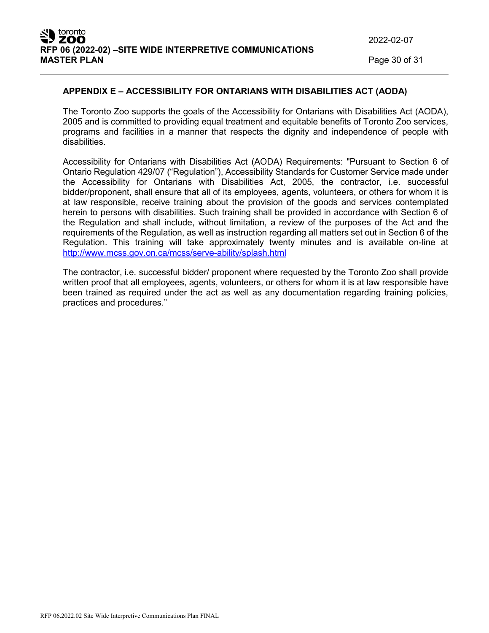2022-02-07

**Page 30 of 31** 

#### **APPENDIX E – ACCESSIBILITY FOR ONTARIANS WITH DISABILITIES ACT (AODA)**

The Toronto Zoo supports the goals of the Accessibility for Ontarians with Disabilities Act (AODA), 2005 and is committed to providing equal treatment and equitable benefits of Toronto Zoo services, programs and facilities in a manner that respects the dignity and independence of people with disabilities.

Accessibility for Ontarians with Disabilities Act (AODA) Requirements: "Pursuant to Section 6 of Ontario Regulation 429/07 ("Regulation"), Accessibility Standards for Customer Service made under the Accessibility for Ontarians with Disabilities Act, 2005, the contractor, i.e. successful bidder/proponent, shall ensure that all of its employees, agents, volunteers, or others for whom it is at law responsible, receive training about the provision of the goods and services contemplated herein to persons with disabilities. Such training shall be provided in accordance with Section 6 of the Regulation and shall include, without limitation, a review of the purposes of the Act and the requirements of the Regulation, as well as instruction regarding all matters set out in Section 6 of the Regulation. This training will take approximately twenty minutes and is available on-line at <http://www.mcss.gov.on.ca/mcss/serve-ability/splash.html>

The contractor, i.e. successful bidder/ proponent where requested by the Toronto Zoo shall provide written proof that all employees, agents, volunteers, or others for whom it is at law responsible have been trained as required under the act as well as any documentation regarding training policies, practices and procedures."